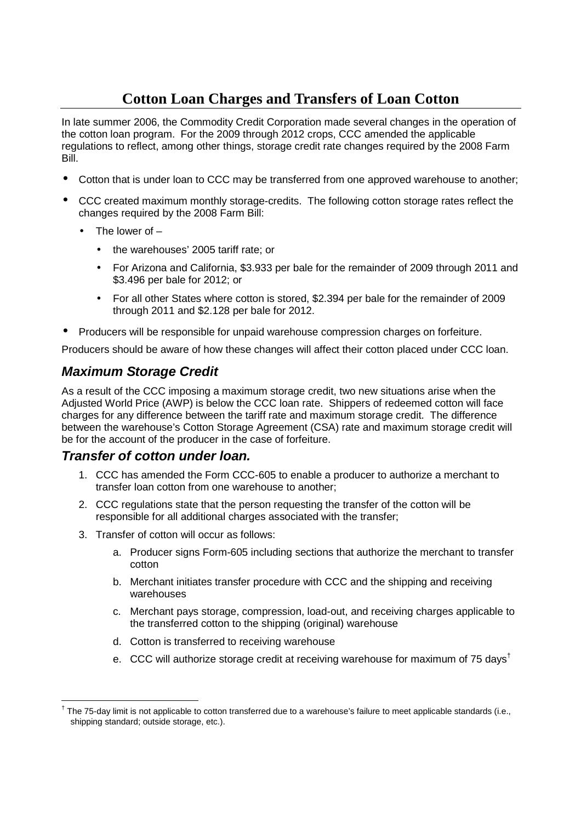## **Cotton Loan Charges and Transfers of Loan Cotton**

In late summer 2006, the Commodity Credit Corporation made several changes in the operation of the cotton loan program. For the 2009 through 2012 crops, CCC amended the applicable regulations to reflect, among other things, storage credit rate changes required by the 2008 Farm Bill.

- Cotton that is under loan to CCC may be transferred from one approved warehouse to another;
- CCC created maximum monthly storage-credits. The following cotton storage rates reflect the changes required by the 2008 Farm Bill:
	- The lower of  $-$ 
		- the warehouses' 2005 tariff rate; or
		- For Arizona and California, \$3,933 per bale for the remainder of 2009 through 2011 and \$3.496 per bale for 2012; or
		- For all other States where cotton is stored, \$2.394 per bale for the remainder of 2009 through 2011 and \$2.128 per bale for 2012.
- Producers will be responsible for unpaid warehouse compression charges on forfeiture.

Producers should be aware of how these changes will affect their cotton placed under CCC loan.

## **Maximum Storage Credit**

As a result of the CCC imposing a maximum storage credit, two new situations arise when the Adjusted World Price (AWP) is below the CCC loan rate. Shippers of redeemed cotton will face charges for any difference between the tariff rate and maximum storage credit. The difference between the warehouse's Cotton Storage Agreement (CSA) rate and maximum storage credit will be for the account of the producer in the case of forfeiture.

## **Transfer of cotton under loan.**

- 1. CCC has amended the Form CCC-605 to enable a producer to authorize a merchant to transfer loan cotton from one warehouse to another;
- 2. CCC regulations state that the person requesting the transfer of the cotton will be responsible for all additional charges associated with the transfer;
- 3. Transfer of cotton will occur as follows:
	- a. Producer signs Form-605 including sections that authorize the merchant to transfer cotton
	- b. Merchant initiates transfer procedure with CCC and the shipping and receiving warehouses
	- c. Merchant pays storage, compression, load-out, and receiving charges applicable to the transferred cotton to the shipping (original) warehouse
	- d. Cotton is transferred to receiving warehouse
	- e. CCC will authorize storage credit at receiving warehouse for maximum of 75 days<sup>†</sup>

 <sup>†</sup> The 75-day limit is not applicable to cotton transferred due to a warehouse's failure to meet applicable standards (i.e., shipping standard; outside storage, etc.).